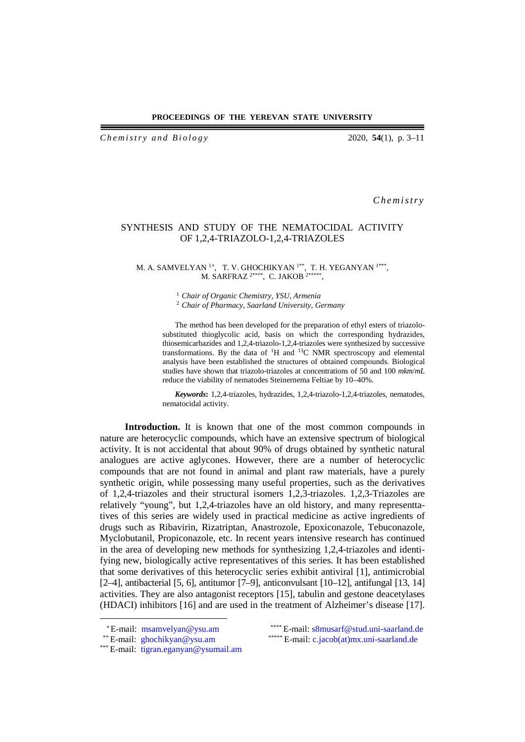### **PROCEEDINGS OF THE YEREVAN STATE UNIVERSITY**

*Ch e m istry and Biology* 2020, **54**(1), p. 3–11

*Chemistry*

# SYNTHESIS AND STUDY OF THE NEMATOCIDAL ACTIVITY OF 1,2,4-TRIAZOLO-1,2,4-TRIAZOLES

#### M. A. SAMVELYAN <sup>1</sup>\*, T. V. GHOCHIKYAN <sup>1\*\*</sup>, T. H. YEGANYAN <sup>1\*\*\*</sup>, M. SARFRAZ 2\*\*\*\*, C. JAKOB 2\*\*\*\*\*,

<sup>1</sup>*Chair of Organic Chemistry, YSU, Armenia*

<sup>2</sup>*Chair of Pharmacy, Saarland University, Germany*

The method has been developed for the preparation of ethyl esters of triazolosubstituted thioglycolic acid, basis on which the corresponding hydrazides, thiosemicarbazides and 1,2,4-triazolo-1,2,4-triazoles were synthesized by successive transformations. By the data of  ${}^{1}H$  and  ${}^{13}C$  NMR spectroscopy and elemental analysis have been established the structures of obtained compounds. Biological studies have shown that triazolo-triazoles at concentrations of 50 and 100 *mkm*/*mL* reduce the viability of nematodes Steinernema Feltiae by 10–40%.

*Keywords***:** 1,2,4-triazoles, hydrazides, 1,2,4-triazolo-1,2,4-triazoles, nematodes, nematocidal activity.

**Introduction.** It is known that one of the most common compounds in nature are heterocyclic compounds, which have an extensive spectrum of biological activity. It is not accidental that about 90% of drugs obtained by synthetic natural analogues are active aglycones. However, there are a number of heterocyclic compounds that are not found in animal and plant raw materials, have a purely synthetic origin, while possessing many useful properties, such as the derivatives of 1,2,4-triazoles and their structural isomers 1,2,3-triazoles. 1,2,3-Triazoles are relatively "young", but 1,2,4-triazoles have an old history, and many representtatives of this series are widely used in practical medicine as active ingredients of drugs such as Ribavirin, Rizatriptan, Anastrozole, Epoxiconazole, Tebuconazole, Myclobutanil, Propiconazole, etc. In recent years intensive research has continued in the area of developing new methods for synthesizing 1,2,4-triazoles and identifying new, biologically active representatives of this series. It has been established that some derivatives of this heterocyclic series exhibit antiviral [1], antimicrobial [2–4], antibacterial [5, 6], antitumor [7–9], anticonvulsant [10–12], antifungal [13, 14] activities. They are also antagonist receptors [15], tabulin and gestone deacetylases (HDACI) inhibitors [16] and are used in the treatment of Alzheimer's disease [17].

<span id="page-0-0"></span> $\overline{a}$ 

<sup>\*\*\*</sup> E-mail: [tigran.eganyan@ysumail.am](mailto:tigran.eganyan@ysumail.am)

<sup>∗</sup>E-mail: [msamvelyan@ysu.am](mailto:msamvelyan@ysu.am) \*\*\*\* E-mail: [s8musarf@stud.uni-saarland.de](mailto:s8musarf@stud.uni-saarland.de) \*\* E-mail: [ghochikyan@ysu.am](mailto:ghochikyan@ysu.am) \*\*\*\*\* E-mail: c.jacob(at)mx.uni-saarland.de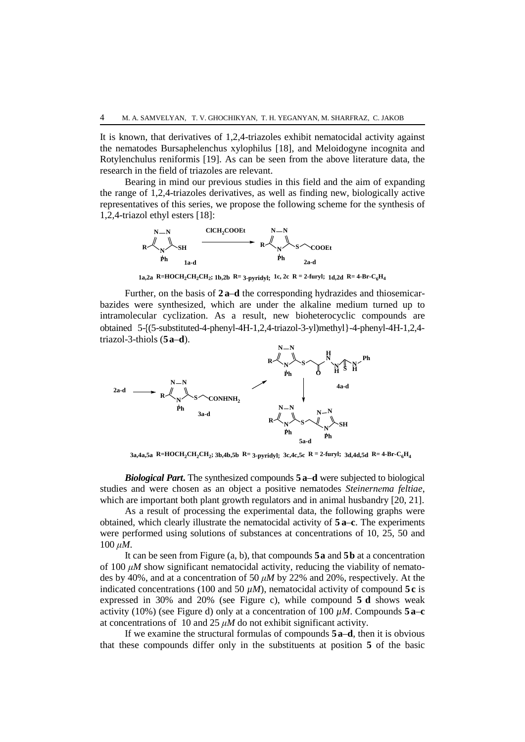It is known, that derivatives of 1,2,4-triazoles exhibit nematocidal activity against the nematodes Bursaphelenchus xylophilus [18], and Meloidogyne incognita and Rotylenchulus reniformis [19]. As can be seen from the above literature data, the research in the field of triazoles are relevant.

Bearing in mind our previous studies in this field and the aim of expanding the range of 1,2,4-triazoles derivatives, as well as finding new, biologically active representatives of this series, we propose the following scheme for the synthesis of 1,2,4-triazol ethyl esters [18]:



1a,2a R=HOCH<sub>2</sub>CH<sub>2</sub>CH<sub>2</sub>; 1b,2b R= 3-pyridyl; 1c, 2c R = 2-furyl; 1d,2d R= 4-Br-C<sub>6</sub>H<sub>4</sub>

Further, on the basis of **2 a**–**d** the corresponding hydrazides and thiosemicarbazides were synthesized, which are under the alkaline medium turned up to intramolecular cyclization. As a result, new bioheterocyclic compounds are obtained 5-{(5-substituted-4-phenyl-4H-1,2,4-triazol-3-yl)methyl}-4-phenyl-4H-1,2,4 triazol-3-thiols (**5a**–**d**).



 $3a,4a,5a$  R=HOCH<sub>2</sub>CH<sub>2</sub>CH<sub>2</sub>;  $3b,4b,5b$  R= 3-pyridyl;  $3c,4c,5c$  R = 2-furyl;  $3d,4d,5d$  R= 4-Br-C<sub>6</sub>H<sub>4</sub>

*Biological Part***.** The synthesized compounds **5 a**–**d** were subjected to biological studies and were chosen as an object a positive nematodes *Steinernеma feltiae*, which are important both plant growth regulators and in animal husbandry [20, 21].

As a result of processing the experimental data, the following graphs were obtained, which clearly illustrate the nematocidal activity of **5 a**–**c**. The experiments were performed using solutions of substances at concentrations of 10, 25, 50 and 100 *μM*.

It can be seen from Figure (a, b), that compounds **5a** and **5b** at a concentration of 100 *μM* show significant nematocidal activity, reducing the viability of nematodes by 40%, and at a concentration of 50 *μM* by 22% and 20%, respectively. At the indicated concentrations (100 and 50  $\mu$ *M*), nematocidal activity of compound 5 $\bf{c}$  is expressed in 30% and 20% (see Figure c), while compound **5 d** shows weak activity (10%) (see Figure d) only at a concentration of 100  $\mu$ *M*. Compounds **5 a**–**c** at concentrations of 10 and 25 *μM* do not exhibit significant activity.

If we examine the structural formulas of compounds **5a**–**d**, then it is obvious that these compounds differ only in the substituents at position **5** of the basic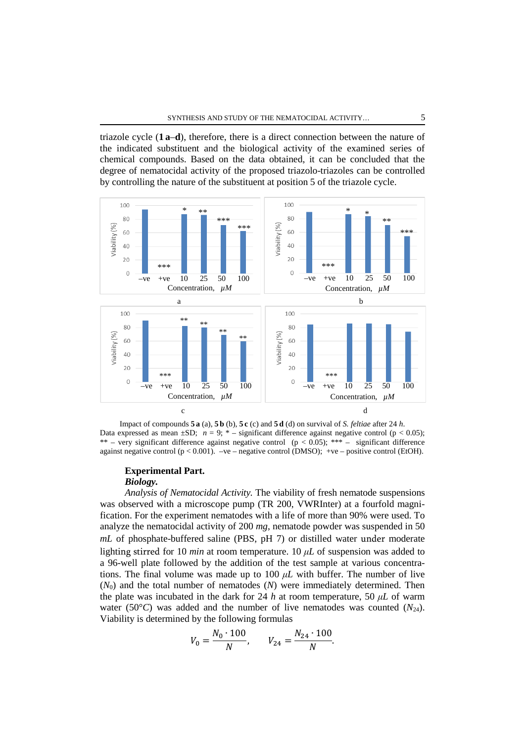triazole cycle (**1 a**–**d**), therefore, there is a direct connection between the nature of the indicated substituent and the biological activity of the examined series of chemical compounds. Based on the data obtained, it can be concluded that the degree of nematocidal activity of the proposed triazolo-triazoles can be controlled by controlling the nature of the substituent at position 5 of the triazole cycle.



Impact of compounds **5 a** (a), **5 b** (b), **5 c** (c) and **5 d** (d) on survival of *S. feltiae* after 24 *h*. Data expressed as mean  $\pm SD$ ;  $n = 9$ ;  $*$  – significant difference against negative control (p < 0.05); \*\* – very significant difference against negative control ( $p < 0.05$ ); \*\*\* – significant difference against negative control ( $p < 0.001$ ).  $-ve$  – negative control (DMSO); +ve – positive control (EtOH).

## **Experimental Part.** *Biology.*

*Analysis of Nematocidal Activity.* The viability of fresh nematode suspensions was observed with a microscope pump (TR 200, VWRInter) at a fourfold magnification. For the experiment nematodes with a life of more than 90% were used. To analyze the nematocidal activity of 200 *mg*, nematode powder was suspended in 50 *mL* of phosphate-buffered saline (PBS, pH 7) or distilled water under moderate lighting stirred for 10 *min* at room temperature. 10 *μL* of suspension was added to a 96-well plate followed by the addition of the test sample at various concentrations. The final volume was made up to 100  $\mu$ *L* with buffer. The number of live (*N*0) and the total number of nematodes (*N*) were immediately determined. Then the plate was incubated in the dark for 24 *h* at room temperature, 50  $\mu$ *L* of warm water (50 $^{\circ}$ C) was added and the number of live nematodes was counted ( $N_{24}$ ). Viability is determined by the following formulas

$$
V_0 = \frac{N_0 \cdot 100}{N}, \qquad V_{24} = \frac{N_{24} \cdot 100}{N}.
$$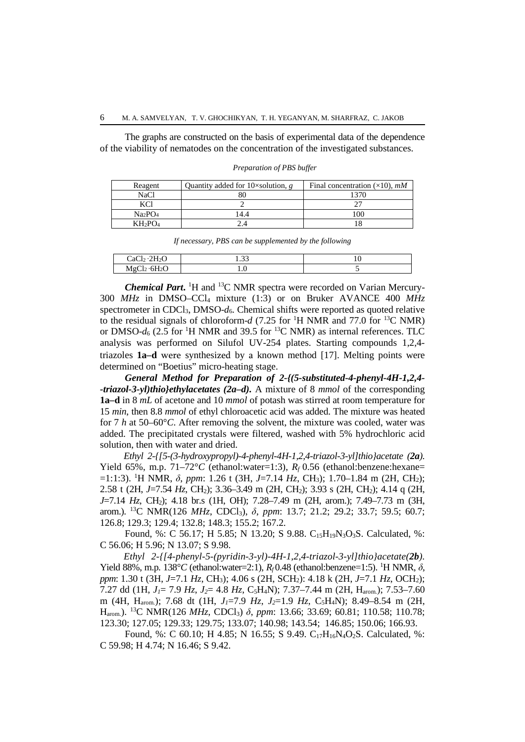The graphs are constructed on the basis of experimental data of the dependence of the viability of nematodes on the concentration of the investigated substances.

| Reagent                         | Quantity added for 10 $\times$ solution, g | Final concentration $(\times 10)$ , <i>mM</i> |
|---------------------------------|--------------------------------------------|-----------------------------------------------|
| NaCl                            |                                            |                                               |
| KCI                             |                                            |                                               |
| Na <sub>2</sub> PO <sub>4</sub> | 4.4                                        | 100                                           |
| $KH_2PO_4$                      |                                            |                                               |

*Preparation of PBS buffer*

| If necessary, PBS can be supplemented by the following |      |  |  |
|--------------------------------------------------------|------|--|--|
| CaCl <sub>2</sub> ·2H <sub>2</sub> O                   | 1.33 |  |  |
| MgCl <sub>2</sub> ·6H <sub>2</sub> O                   |      |  |  |

**Chemical Part.** <sup>1</sup>H and <sup>13</sup>C NMR spectra were recorded on Varian Mercury-300 *MHz* in DMSO–CCl4 mixture (1:3) or on Bruker AVANCE 400 *MHz* spectrometer in CDCl<sub>3</sub>, DMSO- $d_6$ . Chemical shifts were reported as quoted relative to the residual signals of chloroform- $d$  (7.25 for <sup>1</sup>H NMR and 77.0 for <sup>13</sup>C NMR) or DMSO- $d_6$  (2.5 for <sup>1</sup>H NMR and 39.5 for <sup>13</sup>C NMR) as internal references. TLC analysis was performed on Silufol UV-254 plates. Starting compounds 1,2,4 triazoles **1a***–***d** were synthesized by a known method [17]. Melting points were determined on "Boetius" micro-heating stage.

*General Method for Preparation of 2-{(5-substituted-4-phenyl-4H-1,2,4- -triazol-3-yl)thio}ethylacetates (2a–d).* A mixture of 8 *mmol* of the corresponding **1a***–***d** in 8 *mL* of acetone and 10 *mmol* of potash was stirred at room temperature for 15 *min*, then 8.8 *mmol* of ethyl chloroacetic acid was added. The mixture was heated for 7 *h* at 50–60°*C*. After removing the solvent, the mixture was cooled, water was added. The precipitated crystals were filtered, washed with 5% hydrochloric acid solution, then with water and dried.

*Ethyl 2-{[5-(3-hydroxypropyl)-4-phenyl-4H-1,2,4-triazol-3-yl]thio}acetate (2a).* Yield 65%, m.p. 71–72°C (ethanol:water=1:3),  $R_f$  0.56 (ethanol:benzene:hexane= =1:1:3). 1 H NMR, *δ*, *ppm*: 1.26 t (3H, *J*=7.14 *Hz*, CH3); 1.70–1.84 m (2H, CH2); 2.58 t (2H, *J*=7.54 *Hz*, CH2); 3.36–3.49 m (2H, CH2); 3.93 s (2H, CH2); 4.14 q (2H, *J*=7.14 *Hz*, CH<sub>2</sub>); 4.18 br.s (1H, OH); 7.28–7.49 m (2H, arom.); 7.49–7.73 m (3H, arom.). 13C NMR(126 *MHz*, CDCl3), *δ*, *ppm*: 13.7; 21.2; 29.2; 33.7; 59.5; 60.7; 126.8; 129.3; 129.4; 132.8; 148.3; 155.2; 167.2.

Found, %: C 56.17; H 5.85; N 13.20; S 9.88. C<sub>15</sub>H<sub>19</sub>N<sub>3</sub>O<sub>3</sub>S. Calculated, %: C 56.06; H 5.96; N 13.07; S 9.98.

*Ethyl 2-{[4-phenyl-5-(pyridin-3-yl)-4H-1,2,4-triazol-3-yl]thio}acetate(2b).* Yield 88%, m.p. 138°C (ethanol:water=2:1), R<sub>f</sub> 0.48 (ethanol:benzene=1:5). <sup>1</sup>H NMR, δ, *ppm*: 1.30 t (3H, *J*=7.1 *Hz*, CH3); 4.06 s (2H, SCH2): 4.18 k (2H, *J*=7.1 *Hz*, OCH2); 7.27 dd (1H, *J1*= 7.9 *Hz*, *J2*= 4.8 *Hz*, C5H4N); 7.37–7.44 m (2H, Harom.); 7.53–7.60 m (4H, Harom.); 7.68 dt (1H, *J1*=7.9 *Hz*, *J2*=1.9 *Hz*, C5H4N); 8.49–8.54 m (2H, Harom.). 13C NMR(126 *MHz*, CDCl3) *δ*, *ppm*: 13.66; 33.69; 60.81; 110.58; 110.78; 123.30; 127.05; 129.33; 129.75; 133.07; 140.98; 143.54; 146.85; 150.06; 166.93.

Found, %: C 60.10; H 4.85; N 16.55; S 9.49. C17H16N4O2S. Calculated, %: C 59.98; H 4.74; N 16.46; S 9.42.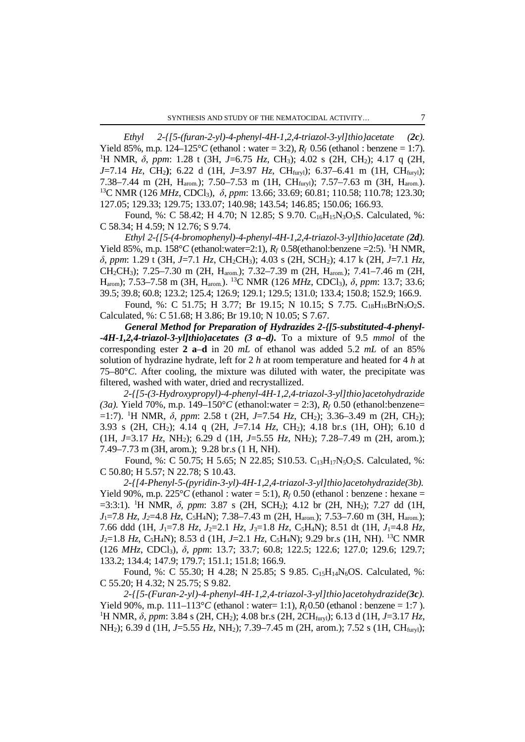*Ethyl 2-{[5-(furan-2-yl)-4-phenyl-4H-1,2,4-triazol-3-yl]thio}acetate (2c).* Yield 85%, m.p.  $124-125^{\circ}C$  (ethanol: water = 3:2),  $R_f$  0.56 (ethanol: benzene = 1:7). <sup>1</sup>H NMR, δ, *ppm*: 1.28 t (3H, *J*=6.75 *Hz*, CH<sub>3</sub>); 4.02 s (2H, CH<sub>2</sub>); 4.17 q (2H, *J*=7.14 *Hz*, CH2**)**; 6.22 d (1H, *J*=3.97 *Hz*, CHfuryl); 6.37–6.41 m (1H, CHfuryl); 7.38–7.44 m (2H, Harom.); 7.50–7.53 m (1H, CHfuryl); 7.57–7.63 m (3H, Harom.). 13C NMR (126 *MHz*, CDCl3), *<sup>δ</sup>*, *ppm*: 13.66; 33.69; 60.81; 110.58; 110.78; 123.30; 127.05; 129.33; 129.75; 133.07; 140.98; 143.54; 146.85; 150.06; 166.93.

Found, %: C 58.42; H 4.70; N 12.85; S 9.70. C<sub>16</sub>H<sub>15</sub>N<sub>3</sub>O<sub>3</sub>S. Calculated, %: C 58.34; H 4.59; N 12.76; S 9.74.

*Ethyl 2-{[5-(4-bromophenyl)-4-phenyl-4H-1,2,4-triazol-3-yl]thio}acetate (2d).* Yield 85%, m.p.  $158^{\circ}C$  (ethanol:water=2:1),  $R_f$  0.58(ethanol:benzene =2:5). <sup>1</sup>H NMR, *δ*, *ppm*: 1.29 t (3H, *J*=7.1 *Hz*, CH2CH3); 4.03 s (2H, SCH2); 4.17 k (2H, *J*=7.1 *Hz*, CH2CH3); 7.25–7.30 m (2H, Harom.); 7.32–7.39 m (2H, Harom.); 7.41–7.46 m (2H, Harom); 7.53–7.58 m (3H, Harom.). 13C NMR (126 *MHz*, CDCl3), *δ*, *ppm*: 13.7; 33.6; 39.5; 39.8; 60.8; 123.2; 125.4; 126.9; 129.1; 129.5; 131.0; 133.4; 150.8; 152.9; 166.9.

Found, %: C 51.75; H 3.77; Br 19.15; N 10.15; S 7.75. C<sub>18</sub>H<sub>16</sub>BrN<sub>3</sub>O<sub>2</sub>S. Calculated, %: C 51.68; H 3.86; Br 19.10; N 10.05; S 7.67.

*General Method for Preparation of Hydrazides 2-{[5-substituted-4-phenyl- -4H-1,2,4-triazol-3-yl]thio}acetates (3 a–d).* To a mixture of 9.5 *mmol* of the corresponding ester **2 a**–**d** in 20 *mL* of ethanol was added 5.2 *mL* of an 85% solution of hydrazine hydrate, left for 2 *h* at room temperature and heated for 4 *h* at 75–80°*C*. After cooling, the mixture was diluted with water, the precipitate was filtered, washed with water, dried and recrystallized.

*2-{[5-(3-Hydroxypropyl)-4-phenyl-4H-1,2,4-triazol-3-yl]thio}acetohydrazide (3a).* Yield 70%, m.p. 149–150°*C* (ethanol:water = 2:3), *Rf* 0.50 (ethanol:benzene= =1:7). 1 H NMR, *δ*, *ppm*: 2.58 t (2H, *J*=7.54 *Hz*, CH2); 3.36–3.49 m (2H, CH2); 3.93 s (2H, CH2); 4.14 q (2H, *J*=7.14 *Hz*, CH2); 4.18 br.s (1H, OH); 6.10 d (1H, *J*=3.17 *Hz*, NH2); 6.29 d (1H, *J*=5.55 *Hz*, NH2); 7.28–7.49 m (2H, arom.); 7.49–7.73 m (3H, arom.); 9.28 br.s (1 H, NH).

Found, %: C 50.75; H 5.65; N 22.85; S10.53. C13H17N5O2S. Calculated, %: C 50.80; H 5.57; N 22.78; S 10.43.

*2-{[4-Phenyl-5-(pyridin-3-yl)-4H-1,2,4-triazol-3-yl]thio}acetohydrazide(3b).* Yield 90%, m.p.  $225^{\circ}C$  (ethanol : water = 5:1),  $R_f$  0.50 (ethanol : benzene : hexane = =3:3:1). 1 H NMR, *δ*, *ppm*: 3.87 s (2H, SCH2); 4.12 br (2H, NH2); 7.27 dd (1H, *J*1=7.8 *Hz*, *J2*=4.8 *Hz*, C5H4N); 7.38–7.43 m (2H, Harom.); 7.53–7.60 m (3H, Harom.); 7.66 ddd (1H, *J*1=7.8 *Hz*, *J*2=2.1 *Hz*, *J*3=1.8 *Hz,* C5H4N); 8.51 dt (1H, *J*1=4.8 *Hz*, *J*2=1.8 *Hz*, C5H4N); 8.53 d (1H, *J*=2.1 *Hz*, C5H4N); 9.29 br.s (1H, NH). 13C NMR (126 *MHz*, CDCl3), *δ*, *ppm*: 13.7; 33.7; 60.8; 122.5; 122.6; 127.0; 129.6; 129.7; 133.2; 134.4; 147.9; 179.7; 151.1; 151.8; 166.9.

Found, %: C 55.30; H 4.28; N 25.85; S 9.85. C<sub>15</sub>H<sub>14</sub>N<sub>6</sub>OS. Calculated, %: C 55.20; H 4.32; N 25.75; S 9.82.

*2-{[5-(Furan-2-yl)-4-phenyl-4H-1,2,4-triazol-3-yl]thio}acetohydrazide(3c).* Yield 90%, m.p.  $111-113^{\circ}C$  (ethanol : water= 1:1),  $R_f$  0.50 (ethanol : benzene = 1:7). <sup>1</sup>H NMR, δ, *ppm*: 3.84 s (2H, CH<sub>2</sub>); 4.08 br.s (2H, 2CH<sub>fury</sub>); 6.13 d (1H, *J*=3.17 *Hz*, NH2); 6.39 d (1H, *J*=5.55 *Hz*, NH2); 7.39–7.45 m (2H, arom.); 7.52 s (1H, CHfuryl);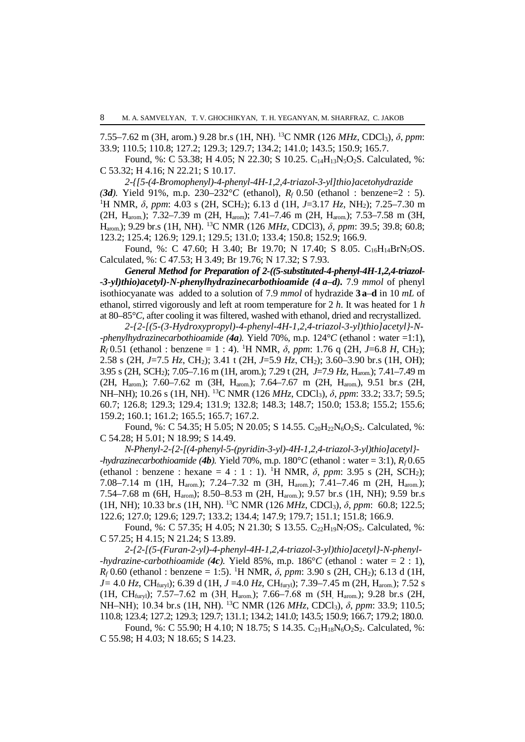7.55–7.62 m (3H, arom.) 9.28 br.s (1H, NH). 13C NMR (126 *MHz*, CDCl3), *δ*, *ppm*: 33.9; 110.5; 110.8; 127.2; 129.3; 129.7; 134.2; 141.0; 143.5; 150.9; 165.7.

Found, %: C 53.38; H 4.05; N 22.30; S 10.25. C14H13N5O2S. Calculated, %: C 53.32; H 4.16; N 22.21; S 10.17.

*2-{[5-(4-Bromophenyl)-4-phenyl-4H-1,2,4-triazol-3-yl]thio}acetohydrazide (3d).* Yield 91%, m.p. 230–232°*<sup>C</sup>* (ethanol), *Rf* 0.50 (ethanol : benzene=2 : 5). 1 H NMR, *δ*, *ppm*: 4.03 s (2H, SCH2); 6.13 d (1H, *J*=3.17 *Hz*, NH2); 7.25–7.30 m (2H, H<sub>arom.</sub>); 7.32-7.39 m (2H, H<sub>arom</sub>); 7.41-7.46 m (2H, H<sub>arom.</sub>); 7.53-7.58 m (3H, Harom.); 9.29 br.s (1H, NH). 13C NMR (126 *MHz*, CDCl3), *δ*, *ppm*: 39.5; 39.8; 60.8; 123.2; 125.4; 126.9; 129.1; 129.5; 131.0; 133.4; 150.8; 152.9; 166.9.

Found, %: C 47.60; H 3.40; Br 19.70; N 17.40; S 8.05.  $C_{16}H_{14}BrN_5OS$ . Calculated, %: C 47.53; H 3.49; Br 19.76; N 17.32; S 7.93.

*General Method for Preparation of 2-((5-substituted-4-phenyl-4H-1,2,4-triazol- -3-yl)thio)acetyl)-N-phenylhydrazinecarbothioamide (4 a–d).* 7.9 *mmol* of phenyl isothiocyanate was added to a solution of 7.9 *mmol* of hydrazide **3 a**–**d** in 10 *mL* of ethanol, stirred vigorously and left at room temperature for 2 *h*. It was heated for 1 *h* at 80–85°*C*, after cooling it was filtered, washed with ethanol, dried and recrystallized.

*2-{2-[(5-(3-Hydroxypropyl)-4-phenyl-4H-1,2,4-triazol-3-yl)thio]acetyl}-N- -phenylhydrazinecarbothioamide (4a).* Yield 70%, m.p. 124°*C* (ethanol : water =1:1), *Rf* 0.51 (ethanol : benzene = 1 : 4). 1 H NMR, *δ*, *ppm*: 1.76 q (2H*, J*=6.8 *H*, CH2); 2.58 s (2H, *J*=7.5 *Hz*, CH2); 3.41 t (2H, *J*=5.9 *Hz*, СН2); 3.60–3.90 br.s (1H, OH); 3.95 s (2H, SCH2); 7.05–7.16 m (1H, arom.); 7.29 t (2H, *J*=7.9 *Hz*, Harom.); 7.41–7.49 m (2H, H<sub>arom.</sub>); 7.60–7.62 m (3H, H<sub>arom.</sub>); 7.64–7.67 m (2H, H<sub>arom.</sub>), 9.51 br.s (2H, NH–NH); 10.26 s (1H, NH). 13C NMR (126 *MHz*, CDCl3), *δ*, *ppm*: 33.2; 33.7; 59.5; 60.7; 126.8; 129.3; 129.4; 131.9; 132.8; 148.3; 148.7; 150.0; 153.8; 155.2; 155.6; 159.2; 160.1; 161.2; 165.5; 165.7; 167.2.

Found, %: C 54.35; H 5.05; N 20.05; S 14.55. C<sub>20</sub>H<sub>22</sub>N<sub>6</sub>O<sub>2</sub>S<sub>2</sub>. Calculated, %: C 54.28; H 5.01; N 18.99; S 14.49.

*N-Phenyl-2-{2-[(4-phenyl-5-(pyridin-3-yl)-4H-1,2,4-triazol-3-yl)thio]acetyl}- -hydrazinecarbothioamide* (4b). Yield 70%, m.p.  $180^{\circ}C$  (ethanol : water = 3:1),  $R_f$  0.65 (ethanol : benzene : hexane = 4 : 1 : 1). 1 H NMR, *δ*, *ppm*: 3.95 s (2H, SCH2); 7.08–7.14 m (1H, Harom.); 7.24–7.32 m (3H, Harom.); 7.41–7.46 m (2H, Harom.); 7.54–7.68 m (6H, Harom); 8.50–8.53 m (2H, Harom.); 9.57 br.s (1H, NH); 9.59 br.s (1H, NH); 10.33 br.s (1H, NH). 13C NMR (126 *MHz*, CDCl3), *δ*, *ppm*: 60.8; 122.5; 122.6; 127.0; 129.6; 129.7; 133.2; 134.4; 147.9; 179.7; 151.1; 151.8; 166.9.

Found, %: C 57.35; H 4.05; N 21.30; S 13.55. C<sub>22</sub>H<sub>19</sub>N<sub>7</sub>OS<sub>2</sub>. Calculated, %: C 57.25; H 4.15; N 21.24; S 13.89.

*2-{2-[(5-(Furan-2-yl)-4-phenyl-4H-1,2,4-triazol-3-yl)thio]acetyl}-N-phenyl- -hydrazine-carbothioamide (4c).* Yield 85%, m.p. 186°*C* (ethanol : water = 2 : 1), *R<sub>f</sub>* 0.60 (ethanol : benzene = 1:5). <sup>1</sup>H NMR, *δ*, *ppm*: 3.90 s (2H, CH<sub>2</sub>); 6.13 d (1H, *J=* 4.0 *Hz*, CHfuryl); 6.39 d (1H, *J* =4.0 *Hz*, CHfuryl); 7.39–7.45 m (2H, Harom.); 7.52 s (1H, CH<sub>furyl</sub>); 7.57-7.62 m (3H, H<sub>arom.</sub>); 7.66-7.68 m (5H, H<sub>arom.</sub>); 9.28 br.s (2H, NH–NН); 10.34 br.s (1H, NH). 13C NMR (126 *MHz*, CDCl3), *δ*, *ppm*: 33.9; 110.5; 110.8; 123.4; 127.2; 129.3; 129.7; 131.1; 134.2; 141.0; 143.5; 150.9; 166.7; 179.2; 180.0.

Found, %: C 55.90; H 4.10; N 18.75; S 14.35. C<sub>21</sub>H<sub>18</sub>N<sub>6</sub>O<sub>2</sub>S<sub>2</sub>. Calculated, %: C 55.98; H 4.03; N 18.65; S 14.23.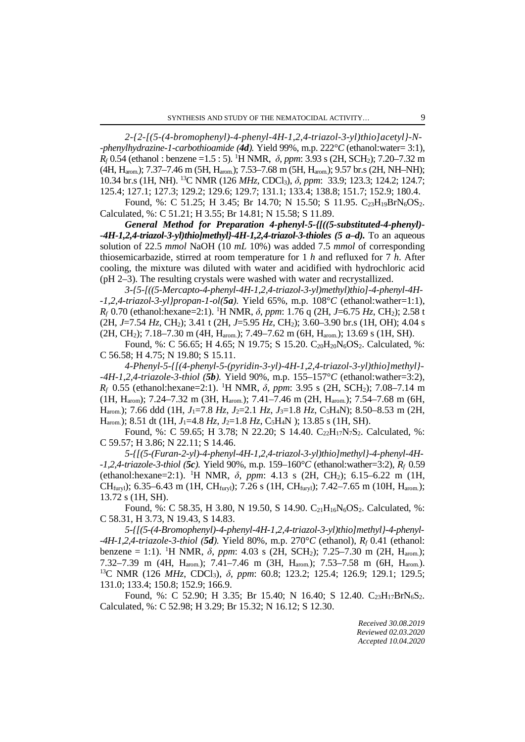*2-{2-[(5-(4-bromophenyl)-4-phenyl-4H-1,2,4-triazol-3-yl)thio]acetyl}-N- -phenylhydrazine-1-carbothioamide (4d).* Yield 99%, m.p. 222°*C* (ethanol:water= 3:1), *Rf* 0.54 (ethanol : benzene =1.5 : 5). 1 H NMR, *δ*, *ppm*: 3.93 s (2H, SCH2); 7.20–7.32 m (4H, Harom.); 7.37–7.46 m (5H, Harom.); 7.53–7.68 m (5H, Harom.); 9.57 br.s (2H, NH–NH); 10.34 br.s (1H, NH). 13C NMR (126 *MHz*, CDCl3), *δ*, *ppm*: 33.9; 123.3; 124.2; 124.7; 125.4; 127.1; 127.3; 129.2; 129.6; 129.7; 131.1; 133.4; 138.8; 151.7; 152.9; 180.4.

Found, %: C 51.25; H 3.45; Br 14.70; N 15.50; S 11.95. C<sub>23</sub>H<sub>19</sub>BrN<sub>6</sub>OS<sub>2</sub>. Calculated, %: C 51.21; H 3.55; Br 14.81; N 15.58; S 11.89.

*General Method for Preparation 4-phenyl-5-{[((5-substituted-4-phenyl)- -4H-1,2,4-triazol-3-yl)thio]methyl}-4H-1,2,4-triazol-3-thioles (5 a–d).* To an aqueous solution of 22.5 *mmol* NaOH (10 *mL* 10%) was added 7.5 *mmol* of corresponding thiosemicarbazide, stirred at room temperature for 1 *h* and refluxed for 7 *h*. After cooling, the mixture was diluted with water and acidified with hydrochloric acid (pH 2–3). The resulting crystals were washed with water and recrystallized.

*3-{5-[((5-Mercapto-4-phenyl-4H-1,2,4-triazol-3-yl)methyl)thio]-4-phenyl-4H- -1,2,4-triazol-3-yl}propan-1-ol(5a).* Yield 65%, m.p. 108°*C* (ethanol:wather=1:1), *Rf* 0.70 (ethanol:hexane=2:1). 1 H NMR, *δ*, *ppm*: 1.76 q (2H, *J*=6.75 *Hz*, CH2); 2.58 t (2H, *J*=7.54 *Hz*, CH2); 3.41 t (2H, *J*=5.95 *Hz*, CH2); 3.60–3.90 br.s (1H, OH); 4.04 s (2H, CH2); 7.18–7.30 m (4H, Harom.); 7.49–7.62 m (6H, Harom.); 13.69 s (1H, SH).

Found, %: C 56.65; H 4.65; N 19.75; S 15.20. C<sub>20</sub>H<sub>20</sub>N<sub>6</sub>OS<sub>2</sub>. Calculated, %: C 56.58; H 4.75; N 19.80; S 15.11.

*4-Phenyl-5-{[(4-phenyl-5-(pyridin-3-yl)-4H-1,2,4-triazol-3-yl)thio]methyl}- -4H-1,2,4-triazole-3-thiol (5b).* Yield 90%, m.p. 155–157°*C* (ethanol:wather=3:2), *Rf* 0.55 (ethanol:hexane=2:1). 1 H NMR, *δ*, *ppm*: 3.95 s (2H, SCH2); 7.08–7.14 m (1H, Harom); 7.24–7.32 m (3H, Harom.); 7.41–7.46 m (2H, Harom.); 7.54–7.68 m (6H, Harom.); 7.66 ddd (1H, *J*1=7.8 *Hz*, *J*2=2.1 *Hz*, *J*3=1.8 *Hz*, C5H4N); 8.50–8.53 m (2H, Harom.); 8.51 dt (1H, *J*1=4.8 *Hz*, *J*2=1.8 *Hz*, C5H4N ); 13.85 s (1H, SH).

Found, %: C 59.65; H 3.78; N 22.20; S 14.40. C<sub>22</sub>H<sub>17</sub>N<sub>7</sub>S<sub>2</sub>. Calculated, %: C 59.57; H 3.86; N 22.11; S 14.46.

*5-{[(5-(Furan-2-yl)-4-phenyl-4H-1,2,4-triazol-3-yl)thio]methyl}-4-phenyl-4H- -1,2,4-triazole-3-thiol (5c).* Yield 90%, m.p. 159–160°*C* (ethanol:wather=3:2), *Rf* 0.59 (ethanol:hexane=2:1). 1 H NMR, *δ*, *ppm*: 4.13 s (2H, CH2); 6.15–6.22 m (1H,  $CH_{\text{fury}}$ ); 6.35–6.43 m (1H, CH<sub>fury</sub>); 7.26 s (1H, CH<sub>fury</sub>); 7.42–7.65 m (10H, H<sub>arom.</sub>); 13.72 s (1H, SH).

Found, %: C 58.35, H 3.80, N 19.50, S 14.90. C<sub>21</sub>H<sub>16</sub>N<sub>6</sub>OS<sub>2</sub>. Calculated, %: C 58.31, H 3.73, N 19.43, S 14.83.

*5-{[(5-(4-Bromophenyl)-4-phenyl-4H-1,2,4-triazol-3-yl)thio]methyl}-4-phenyl- -4H-1,2,4-triazole-3-thiol (5d).* Yield 80%, m.p. 270°*C* (ethanol), *Rf* 0.41 (ethanol: benzene = 1:1). 1 H NMR, *δ*, *ppm*: 4.03 s (2H, SCH2); 7.25–7.30 m (2H, Harom.); 7.32–7.39 m (4H, Harom.); 7.41–7.46 m (3H, Harom.); 7.53–7.58 m (6H, Harom.). 13C NMR (126 *MHz*, CDCl3), *<sup>δ</sup>*, *ppm*: 60.8; 123.2; 125.4; 126.9; 129.1; 129.5; 131.0; 133.4; 150.8; 152.9; 166.9.

Found, %: C 52.90; H 3.35; Br 15.40; N 16.40; S 12.40.  $C_{23}H_{17}BrN_6S_2$ . Calculated, %: C 52.98; H 3.29; Br 15.32; N 16.12; S 12.30.

> *Received 30.08.2019 Reviewed 02.03.2020 Accepted 10.04.2020*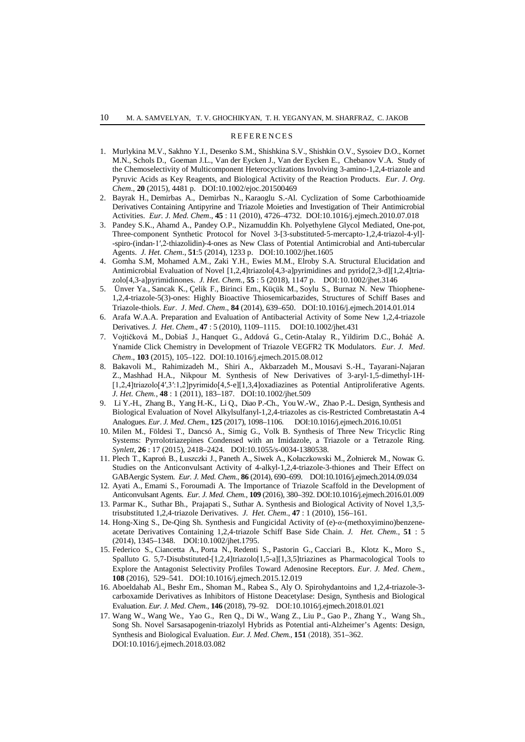#### REFERENCES

- 1. Murlykina M.V., Sakhno Y.I., Desenko S.M., Shishkina S.V., Shishkin O.V., Sysoiev D.O., Kornet M.N., Schols D., Goeman J.L., Van der Eycken J., Van der Eycken E., Chebanov V.A. Study of the Chemoselectivity of Multicomponent Heterocyclizations Involving 3-amino-1,2,4-triazole and Pyruvic Acids as Key Reagents, and Biological Activity of the Reaction Products. *Eur*. *J*. *Org*. *Chem*., **20** (2015), 4481 p. DOI:10.1002/ejoc.201500469
- 2. [Bayrak](http://www.sciencedirect.com/science/article/pii/S0223523410004988) H., [Demirbas](http://www.sciencedirect.com/science/article/pii/S0223523410004988) A., [Demirbas](http://www.sciencedirect.com/science/article/pii/S0223523410004988) N., [Karaoglu](http://www.sciencedirect.com/science/article/pii/S0223523410004988) S.-Al. Cyclization of Some Carbothioamide Derivatives Containing Antipyrine and Triazole Moieties and Investigation of Their Antimicrobial Activities. *Eur. J. Med. Chem*., **45** : 11 (2010), 4726–4732. DOI:10.1016/j.ejmech.2010.07.018
- 3. Pandey S.K., Ahamd A., Pandey O.P., Nizamuddin Kh. Polyethylene Glycol Mediated, One-pot, Three‐component Synthetic Protocol for Novel 3‐[3‐substituted‐5‐mercapto‐1,2,4‐triazol‐4‐yl]‐ -spiro‐(indan‐1′,2‐thiazolidin)‐4‐ones as New Class of Potential Antimicrobial and Anti-tubercular Agents. *J. Het. Chem*., **51**:5 (2014), 1233 p. DOI:10.1002/jhet.1605
- 4. [Gomha](https://onlinelibrary.wiley.com/action/doSearch?ContribAuthorStored=Gomha%2C+Sobhi+M) S.M, [Mohamed](https://onlinelibrary.wiley.com/action/doSearch?ContribAuthorStored=Mohamed%2C+Amany+M+G) A.M., [Zaki](https://onlinelibrary.wiley.com/action/doSearch?ContribAuthorStored=Zaki%2C+Yasser+H) Y.H., [Ewies](https://onlinelibrary.wiley.com/action/doSearch?ContribAuthorStored=Ewies%2C+Mohamed+M) M.M., [Elroby](https://onlinelibrary.wiley.com/action/doSearch?ContribAuthorStored=Elroby%2C+Shaaban+A) S.A. Structural Elucidation and Antimicrobial Evaluation of Novel [1,2,4]triazolo[4,3‐a]pyrimidines and pyrido[2,3‐d][1,2,4]triazolo[4,3‐a]pyrimidinones. *J. Het. Chem.*, **55** : 5 (2018), 1147 p. DOI:10.1002/jhet.3146
- 5. [Ünver](http://www.sciencedirect.com/science/article/pii/S0223523414000452) Ya., [Sancak](http://www.sciencedirect.com/science/article/pii/S0223523414000452) K., [Çelik](http://www.sciencedirect.com/science/article/pii/S0223523414000452) F., [Birinci](http://www.sciencedirect.com/science/article/pii/S0223523414000452) Em., [Küçük](http://www.sciencedirect.com/science/article/pii/S0223523414000452) M., [Soylu](http://www.sciencedirect.com/science/article/pii/S0223523414000452) S., [Burnaz](http://www.sciencedirect.com/science/article/pii/S0223523414000452) N. New Thiophene-1,2,4-triazole-5(3)-ones: Highly Bioactive Thiosemicarbazides, Structures of Schiff Bases and Triazole-thiols. *Eur*. *J*. *Med*. *Chem*., **84** (2014), 639–650. DOI:10.1016/j.ejmech.2014.01.014
- 6. Arafa W.A.A. Preparation and Evaluation of Antibacterial Activity of Some New 1,2,4-triazole Derivatives. *J. Het*. *Chem*., **47** : 5 (2010), 1109–1115. DOI:10.1002/jhet.431
- 7. [Vojtičková](http://www.sciencedirect.com/science/article/pii/S0223523415301963) M., [Dobiaš](http://www.sciencedirect.com/science/article/pii/S0223523415301963) J., [Hanquet](http://www.sciencedirect.com/science/article/pii/S0223523415301963) G., [Addová](http://www.sciencedirect.com/science/article/pii/S0223523415301963) G., [Cetin-Atalay](http://www.sciencedirect.com/science/article/pii/S0223523415301963) R., [Yildirim](http://www.sciencedirect.com/science/article/pii/S0223523415301963) D.C., [Boháč](http://www.sciencedirect.com/science/article/pii/S0223523415301963) A. Ynamide Click Chemistry in Development of Triazole VEGFR2 TK Modulators. *Eur*. *J. Med*. *Chem*., **103** (2015), 105–122. DOI:10.1016/j.ejmech.2015.08.012
- 8. Bakavoli M., Rahimizadeh M., Shiri A., Akbarzadeh M., Mousavi S.-H., Tayarani-Najaran Z., Mashhad H.A., Nikpour M. Synthesis of New Derivatives of 3‐aryl‐1,5‐dimethyl‐1H‐ [1,2,4]triazolo[4′,3′:1,2]pyrimido[4,5‐e][1,3,4]oxadiazines as Potential Antiproliferative Agents. *J. Het. Chem.*, **48** : 1 (2011), 183–187. DOI:10.1002/jhet.509
- 9. [Li](http://www.sciencedirect.com/science/article/pii/S0223523416309138) Y.-H., [Zhang](http://www.sciencedirect.com/science/article/pii/S0223523416309138) B., [Yang](http://www.sciencedirect.com/science/article/pii/S0223523416309138) H.-K., [Li](http://www.sciencedirect.com/science/article/pii/S0223523416309138) Q., [Diao](http://www.sciencedirect.com/science/article/pii/S0223523416309138) P.-Ch., [YouW](http://www.sciencedirect.com/science/article/pii/S0223523416309138).-W., [Zhao](http://www.sciencedirect.com/science/article/pii/S0223523416309138) P.-L. Design, Synthesis and Biological Evaluation of Novel Alkylsulfanyl-1,2,4-triazoles as cis-Restricted Combretastatin A-4 Analogues. *Eur*. *[J. Med](http://www.sciencedirect.com/science/journal/02235234)*. *Chem*., **125** (2017), 1098–1106. DOI:10.1016/j.ejmech.2016.10.051
- 10. Milen M., Földesi T., Dancsó A., Simig G., Volk B. Synthesis of Three New Tricyclic Ring Systems: Pyrrolotriazepines Condensed with an Imidazole, a Triazole or a Tetrazole Ring. *Synlett*, **26** : 17 (2015), 2418–2424. DOI:10.1055/s-0034-1380538.
- 11. [Plech](http://www.sciencedirect.com/science/article/pii/S0223523414008526) T., [Kaproń](http://www.sciencedirect.com/science/article/pii/S0223523414008526) B., [Łuszczki](http://www.sciencedirect.com/science/article/pii/S0223523414008526) J., [Paneth](http://www.sciencedirect.com/science/article/pii/S0223523414008526) A., [Siwek](http://www.sciencedirect.com/science/article/pii/S0223523414008526) A., [Kołaczkowski](http://www.sciencedirect.com/science/article/pii/S0223523414008526) M., [Żołnierek](http://www.sciencedirect.com/science/article/pii/S0223523414008526) M., [Nowa](http://www.sciencedirect.com/science/article/pii/S0223523414008526)к G. Studies on the Anticonvulsant Activity of 4-alkyl-1,2,4-triazole-3-thiones and Their Effect on GABAergic System. *Eur. J. Med. Chem.*, **86** (2014), 690–699. DOI:10.1016/j.ejmech.2014.09.034
- 12. [Ayati](http://www.sciencedirect.com/science/article/pii/S0223523416300095) A., [Emami](http://www.sciencedirect.com/science/article/pii/S0223523416300095) S., [Foroumadi](http://www.sciencedirect.com/science/article/pii/S0223523416300095) A. The Importance of Triazole Scaffold in the Development of Anticonvulsant Agents. *Eur. J. Med. Chem.*, **109** (2016), 380–392. DOI:10.1016/j.ejmech.2016.01.009
- 13. Parmar K., Suthar Bh., Prajapati S., Suthar A. Synthesis and Biological Activity of Novel 1,3,5‐ trisubstituted 1,2,4‐triazole Derivatives. *J. Het. Chem*., **47** : 1 (2010), 156–161.
- 14. Hong-Xing S., De-Qing Sh. Synthesis and Fungicidal Activity of (e)‐*α*‐(methoxyimino)benzeneacetate Derivatives Containing 1,2,4‐triazole Schiff Base Side Chain. *J. Het. Chem*., **51** : 5 (2014), 1345–1348. DOI:10.1002/jhet.1795.
- 15. [Federico](http://www.sciencedirect.com/science/article/pii/S0223523415304050) S., [Ciancetta](http://www.sciencedirect.com/science/article/pii/S0223523415304050) A., [Porta](http://www.sciencedirect.com/science/article/pii/S0223523415304050) N., [Redenti](http://www.sciencedirect.com/science/article/pii/S0223523415304050) S., [Pastorin](http://www.sciencedirect.com/science/article/pii/S0223523415304050) G., [Cacciari](http://www.sciencedirect.com/science/article/pii/S0223523415304050) B., [Klotz](http://www.sciencedirect.com/science/article/pii/S0223523415304050) K., [Moro](http://www.sciencedirect.com/science/article/pii/S0223523415304050) S., [Spalluto](http://www.sciencedirect.com/science/article/pii/S0223523415304050) G. 5,7-Disubstituted-[1,2,4]triazolo[1,5-a][1,3,5]triazines as Pharmacological Tools to Explore the Antagonist Selectivity Profiles Toward Adenosine Receptors. *Eur*. *J. Med*. *Chem*., **108** (2016), 529–541. DOI:10.1016/j.ejmech.2015.12.019
- 16. [Aboeldahab](https://www.sciencedirect.com/science/article/pii/S0223523418300217#!) Al., [Beshr](https://www.sciencedirect.com/science/article/pii/S0223523418300217#!) Em., [Shoman](https://www.sciencedirect.com/science/article/pii/S0223523418300217#!) M., [Rabea](https://www.sciencedirect.com/science/article/pii/S0223523418300217#!) S., [Aly](https://www.sciencedirect.com/science/article/pii/S0223523418300217#!) O. Spirohydantoins and 1,2,4-triazole-3 carboxamide Derivatives as Inhibitors of Histone Deacetylase: Design, Synthesis and Biological Evaluation. *Eur. J. Med*. *Chem.*, **146** (2018), 79–92. DOI:10.1016/j.ejmech.2018.01.021
- 17. [Wang](https://www.sciencedirect.com/science/article/pii/S0223523418303258#!) W., Wang [We., Yao](https://www.sciencedirect.com/science/article/pii/S0223523418303258#!) G., [Ren](https://www.sciencedirect.com/science/article/pii/S0223523418303258#!) Q., [Di W.,](https://www.sciencedirect.com/science/article/pii/S0223523418303258#!) [Wang](https://www.sciencedirect.com/science/article/pii/S0223523418303258#!) Z., [Liu](https://www.sciencedirect.com/science/article/pii/S0223523418303258#!) P., [Gao](https://www.sciencedirect.com/science/article/pii/S0223523418303258#!) P., [Zhang](https://www.sciencedirect.com/science/article/pii/S0223523418303258#!) Y., [Wang](https://www.sciencedirect.com/science/article/pii/S0223523418303258#!) Sh., [Song](https://www.sciencedirect.com/science/article/pii/S0223523418303258#!) Sh. Novel Sarsasapogenin-triazolyl Hybrids as Potential anti-Alzheimer's Agents: Design, Synthesis and Biological Evaluation. *Eur. J. Med*. *Chem.*, **151** (2018), 351–362. DOI:10.1016/j.ejmech.2018.03.082